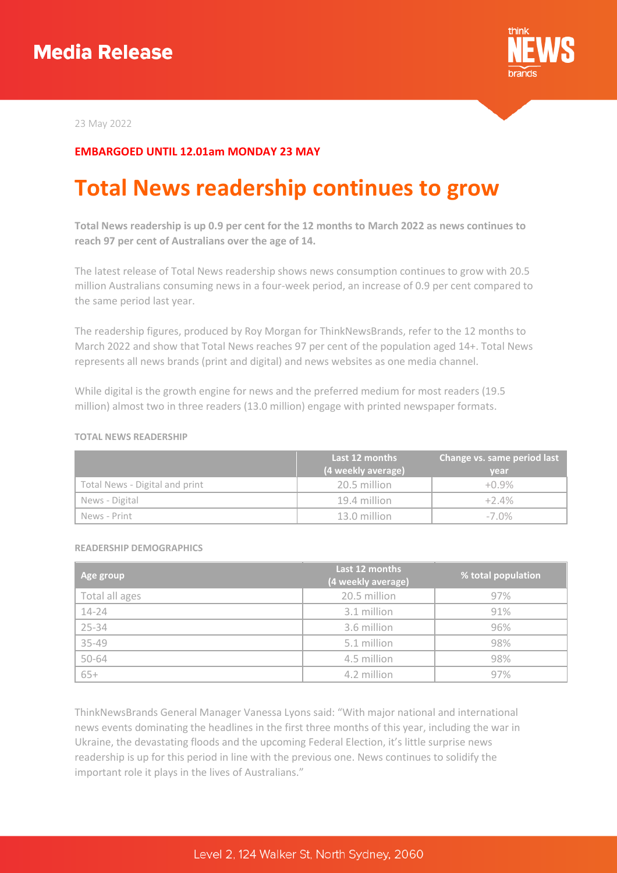

23 May 2022

## **EMBARGOED UNTIL 12.01am MONDAY 23 MAY**

# **Total News readership continues to grow**

**Total News readership is up 0.9 per cent for the 12 months to March 2022 as news continues to reach 97 per cent of Australians over the age of 14.**

The latest release of Total News readership shows news consumption continues to grow with 20.5 million Australians consuming news in a four-week period, an increase of 0.9 per cent compared to the same period last year.

The readership figures, produced by Roy Morgan for ThinkNewsBrands, refer to the 12 months to March 2022 and show that Total News reaches 97 per cent of the population aged 14+. Total News represents all news brands (print and digital) and news websites as one media channel.

While digital is the growth engine for news and the preferred medium for most readers (19.5 million) almost two in three readers (13.0 million) engage with printed newspaper formats.

#### **TOTAL NEWS READERSHIP**

|                                | Last 12 months     | Change vs. same period last |
|--------------------------------|--------------------|-----------------------------|
|                                | (4 weekly average) | year                        |
| Total News - Digital and print | 20.5 million       | $+0.9\%$                    |
| News - Digital                 | 19.4 million       | $+2.4%$                     |
| News - Print                   | 13.0 million       | $-7.0\%$                    |

#### **READERSHIP DEMOGRAPHICS**

| Age group      | Last 12 months<br>(4 weekly average) | % total population |
|----------------|--------------------------------------|--------------------|
| Total all ages | 20.5 million                         | 97%                |
| $14 - 24$      | 3.1 million                          | 91%                |
| 25-34          | 3.6 million                          | 96%                |
| 35-49          | 5.1 million                          | 98%                |
| 50-64          | 4.5 million                          | 98%                |
| $65+$          | 4.2 million                          | 97%                |

ThinkNewsBrands General Manager Vanessa Lyons said: "With major national and international news events dominating the headlines in the first three months of this year, including the war in Ukraine, the devastating floods and the upcoming Federal Election, it's little surprise news readership is up for this period in line with the previous one. News continues to solidify the important role it plays in the lives of Australians."